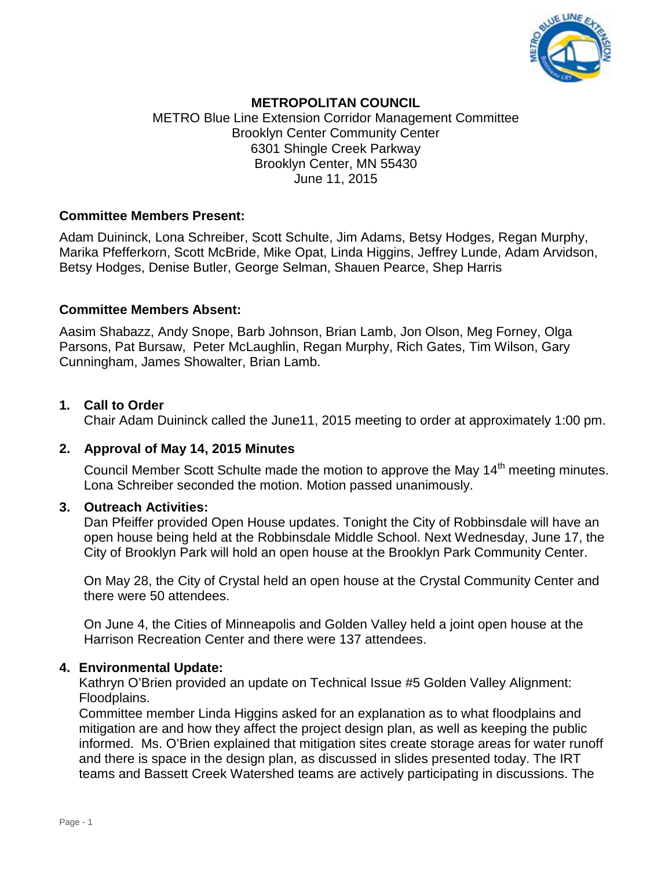

# **METROPOLITAN COUNCIL**

METRO Blue Line Extension Corridor Management Committee Brooklyn Center Community Center 6301 Shingle Creek Parkway Brooklyn Center, MN 55430 June 11, 2015

#### **Committee Members Present:**

Adam Duininck, Lona Schreiber, Scott Schulte, Jim Adams, Betsy Hodges, Regan Murphy, Marika Pfefferkorn, Scott McBride, Mike Opat, Linda Higgins, Jeffrey Lunde, Adam Arvidson, Betsy Hodges, Denise Butler, George Selman, Shauen Pearce, Shep Harris

## **Committee Members Absent:**

Aasim Shabazz, Andy Snope, Barb Johnson, Brian Lamb, Jon Olson, Meg Forney, Olga Parsons, Pat Bursaw, Peter McLaughlin, Regan Murphy, Rich Gates, Tim Wilson, Gary Cunningham, James Showalter, Brian Lamb.

#### **1. Call to Order**

Chair Adam Duininck called the June11, 2015 meeting to order at approximately 1:00 pm.

## **2. Approval of May 14, 2015 Minutes**

Council Member Scott Schulte made the motion to approve the May 14<sup>th</sup> meeting minutes. Lona Schreiber seconded the motion. Motion passed unanimously.

#### **3. Outreach Activities:**

Dan Pfeiffer provided Open House updates. Tonight the City of Robbinsdale will have an open house being held at the Robbinsdale Middle School. Next Wednesday, June 17, the City of Brooklyn Park will hold an open house at the Brooklyn Park Community Center.

On May 28, the City of Crystal held an open house at the Crystal Community Center and there were 50 attendees.

On June 4, the Cities of Minneapolis and Golden Valley held a joint open house at the Harrison Recreation Center and there were 137 attendees.

#### **4. Environmental Update:**

Kathryn O'Brien provided an update on Technical Issue #5 Golden Valley Alignment: Floodplains.

Committee member Linda Higgins asked for an explanation as to what floodplains and mitigation are and how they affect the project design plan, as well as keeping the public informed. Ms. O'Brien explained that mitigation sites create storage areas for water runoff and there is space in the design plan, as discussed in slides presented today. The IRT teams and Bassett Creek Watershed teams are actively participating in discussions. The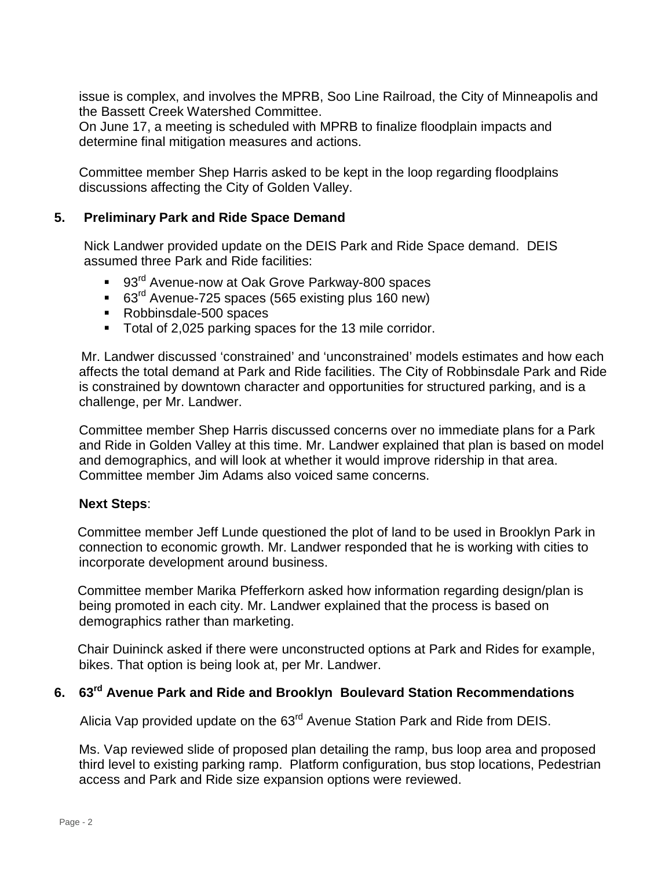issue is complex, and involves the MPRB, Soo Line Railroad, the City of Minneapolis and the Bassett Creek Watershed Committee.

On June 17, a meeting is scheduled with MPRB to finalize floodplain impacts and determine final mitigation measures and actions.

Committee member Shep Harris asked to be kept in the loop regarding floodplains discussions affecting the City of Golden Valley.

# **5. Preliminary Park and Ride Space Demand**

Nick Landwer provided update on the DEIS Park and Ride Space demand. DEIS assumed three Park and Ride facilities:

- 93<sup>rd</sup> Avenue-now at Oak Grove Parkway-800 spaces
- 63<sup>rd</sup> Avenue-725 spaces (565 existing plus 160 new)
- Robbinsdale-500 spaces
- Total of 2,025 parking spaces for the 13 mile corridor.

 Mr. Landwer discussed 'constrained' and 'unconstrained' models estimates and how each affects the total demand at Park and Ride facilities. The City of Robbinsdale Park and Ride is constrained by downtown character and opportunities for structured parking, and is a challenge, per Mr. Landwer.

Committee member Shep Harris discussed concerns over no immediate plans for a Park and Ride in Golden Valley at this time. Mr. Landwer explained that plan is based on model and demographics, and will look at whether it would improve ridership in that area. Committee member Jim Adams also voiced same concerns.

## **Next Steps**:

 Committee member Jeff Lunde questioned the plot of land to be used in Brooklyn Park in connection to economic growth. Mr. Landwer responded that he is working with cities to incorporate development around business.

 Committee member Marika Pfefferkorn asked how information regarding design/plan is being promoted in each city. Mr. Landwer explained that the process is based on demographics rather than marketing.

 Chair Duininck asked if there were unconstructed options at Park and Rides for example, bikes. That option is being look at, per Mr. Landwer.

# **6. 63rd Avenue Park and Ride and Brooklyn Boulevard Station Recommendations**

Alicia Vap provided update on the 63<sup>rd</sup> Avenue Station Park and Ride from DEIS.

Ms. Vap reviewed slide of proposed plan detailing the ramp, bus loop area and proposed third level to existing parking ramp. Platform configuration, bus stop locations, Pedestrian access and Park and Ride size expansion options were reviewed.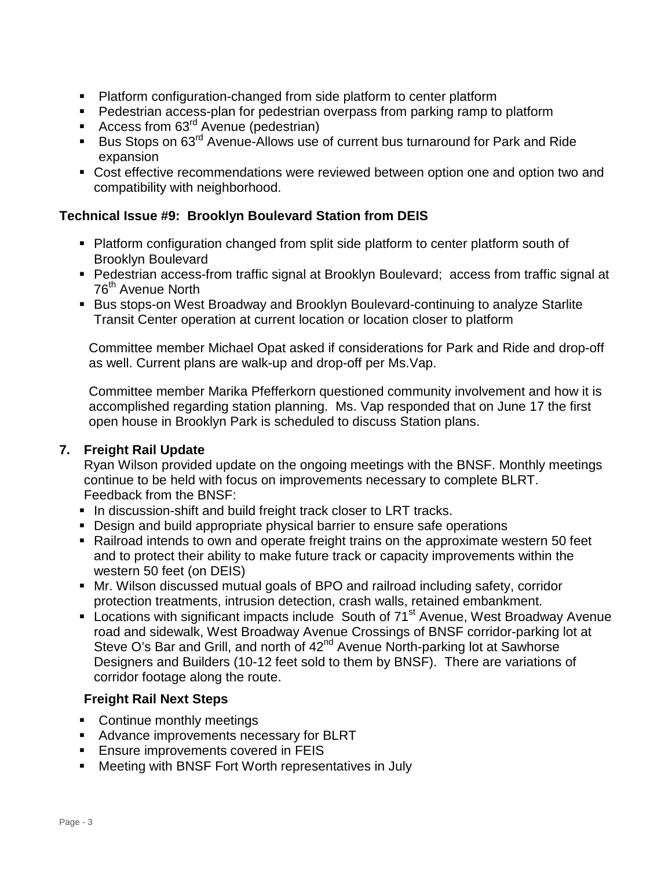- Platform configuration-changed from side platform to center platform
- Pedestrian access-plan for pedestrian overpass from parking ramp to platform
- Access from 63<sup>rd</sup> Avenue (pedestrian)
- Bus Stops on  $63^{\text{rd}}$  Avenue-Allows use of current bus turnaround for Park and Ride expansion
- Cost effective recommendations were reviewed between option one and option two and compatibility with neighborhood.

# **Technical Issue #9: Brooklyn Boulevard Station from DEIS**

- Platform configuration changed from split side platform to center platform south of Brooklyn Boulevard
- Pedestrian access-from traffic signal at Brooklyn Boulevard; access from traffic signal at 76<sup>th</sup> Avenue North
- **Bus stops-on West Broadway and Brooklyn Boulevard-continuing to analyze Starlite** Transit Center operation at current location or location closer to platform

Committee member Michael Opat asked if considerations for Park and Ride and drop-off as well. Current plans are walk-up and drop-off per Ms.Vap.

Committee member Marika Pfefferkorn questioned community involvement and how it is accomplished regarding station planning. Ms. Vap responded that on June 17 the first open house in Brooklyn Park is scheduled to discuss Station plans.

# **7. Freight Rail Update**

Ryan Wilson provided update on the ongoing meetings with the BNSF. Monthly meetings continue to be held with focus on improvements necessary to complete BLRT. Feedback from the BNSF:

- In discussion-shift and build freight track closer to LRT tracks.
- Design and build appropriate physical barrier to ensure safe operations
- Railroad intends to own and operate freight trains on the approximate western 50 feet and to protect their ability to make future track or capacity improvements within the western 50 feet (on DEIS)
- Mr. Wilson discussed mutual goals of BPO and railroad including safety, corridor protection treatments, intrusion detection, crash walls, retained embankment.
- **Locations with significant impacts include South of 71<sup>st</sup> Avenue, West Broadway Avenue** road and sidewalk, West Broadway Avenue Crossings of BNSF corridor-parking lot at Steve O's Bar and Grill, and north of 42<sup>nd</sup> Avenue North-parking lot at Sawhorse Designers and Builders (10-12 feet sold to them by BNSF). There are variations of corridor footage along the route.

# **Freight Rail Next Steps**

- Continue monthly meetings
- **Advance improvements necessary for BLRT**
- **Ensure improvements covered in FEIS**
- Meeting with BNSF Fort Worth representatives in July